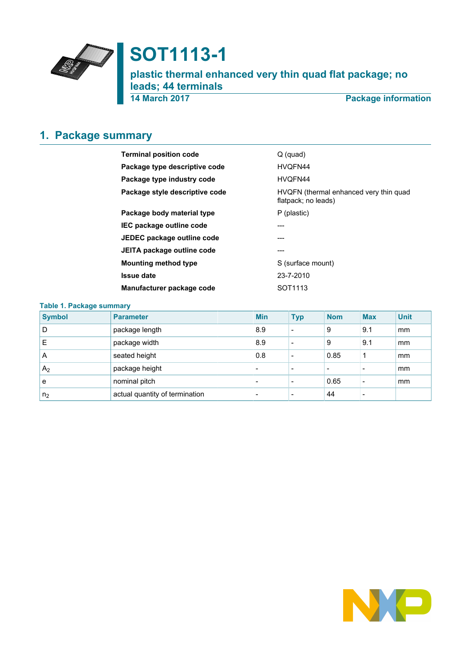

# **SOT1113-1**

**plastic thermal enhanced very thin quad flat package; no leads; 44 terminals**

**14 March 2017 Package information**

## <span id="page-0-0"></span>**1. Package summary**

| <b>Terminal position code</b>  | $Q$ (quad)                                                    |
|--------------------------------|---------------------------------------------------------------|
| Package type descriptive code  | HVOFN44                                                       |
| Package type industry code     | HVQFN44                                                       |
| Package style descriptive code | HVQFN (thermal enhanced very thin quad<br>flatpack; no leads) |
| Package body material type     | P (plastic)                                                   |
| IEC package outline code       | ---                                                           |
| JEDEC package outline code     | ---                                                           |
| JEITA package outline code     | ---                                                           |
| <b>Mounting method type</b>    | S (surface mount)                                             |
| <b>Issue date</b>              | 23-7-2010                                                     |
| Manufacturer package code      | SOT <sub>1113</sub>                                           |

| <b>Table 1. Package summary</b> |                                |  |                          |                          |            |            |             |  |  |
|---------------------------------|--------------------------------|--|--------------------------|--------------------------|------------|------------|-------------|--|--|
| <b>Symbol</b>                   | <b>Parameter</b>               |  | <b>Min</b>               | <b>Typ</b>               | <b>Nom</b> | <b>Max</b> | <b>Unit</b> |  |  |
| D                               | package length                 |  | 8.9                      | $\overline{\phantom{0}}$ | 9          | 9.1        | mm          |  |  |
| Ε                               | package width                  |  | 8.9                      |                          | 9          | 9.1        | mm          |  |  |
| A                               | seated height                  |  | 0.8                      |                          | 0.85       | 1          | mm          |  |  |
| A <sub>2</sub>                  | package height                 |  | $\overline{\phantom{0}}$ |                          |            |            | mm          |  |  |
| e                               | nominal pitch                  |  | $\overline{\phantom{0}}$ |                          | 0.65       |            | mm          |  |  |
| n <sub>2</sub>                  | actual quantity of termination |  | $\overline{\phantom{0}}$ |                          | 44         |            |             |  |  |

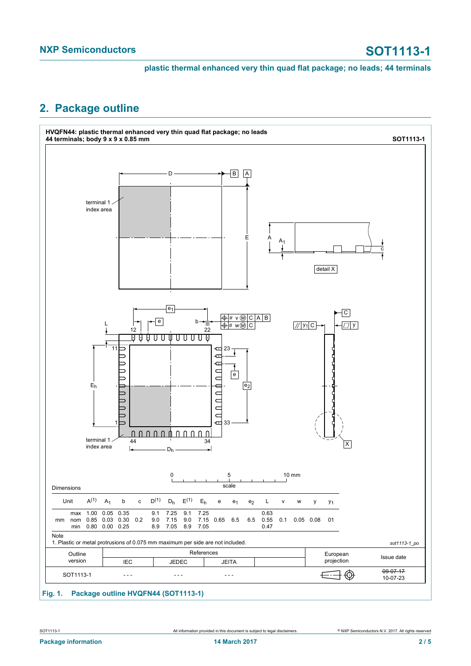### <span id="page-1-0"></span>**2. Package outline**



### **Fig. 1. Package outline HVQFN44 (SOT1113-1)**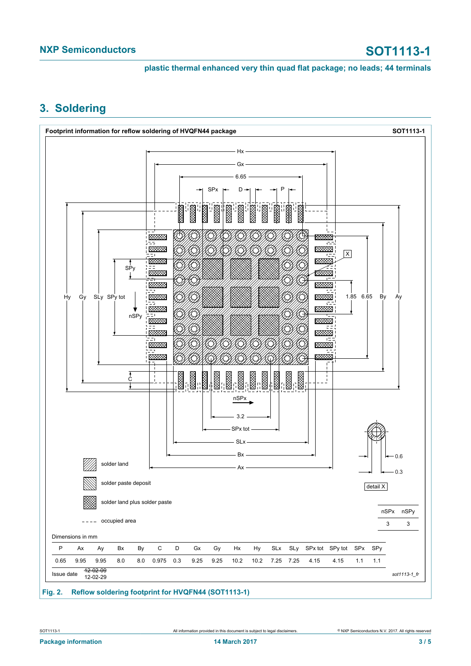### <span id="page-2-0"></span>**3. Soldering**

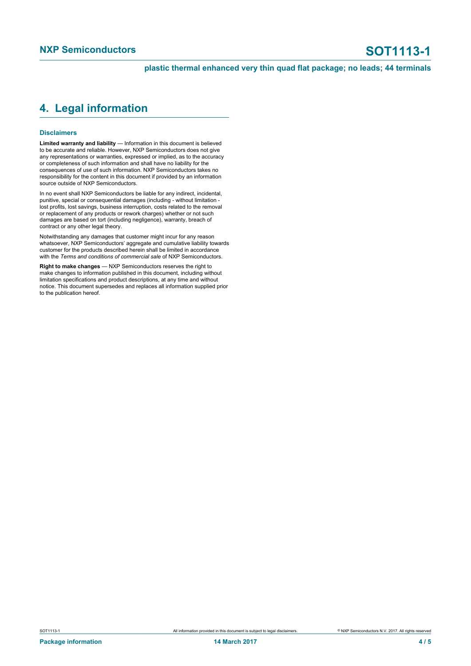### <span id="page-3-0"></span>**4. Legal information**

### **Disclaimers**

**Limited warranty and liability** — Information in this document is believed to be accurate and reliable. However, NXP Semiconductors does not give any representations or warranties, expressed or implied, as to the accuracy or completeness of such information and shall have no liability for the consequences of use of such information. NXP Semiconductors takes no responsibility for the content in this document if provided by an information source outside of NXP Semiconductors.

In no event shall NXP Semiconductors be liable for any indirect, incidental, punitive, special or consequential damages (including - without limitation lost profits, lost savings, business interruption, costs related to the removal or replacement of any products or rework charges) whether or not such damages are based on tort (including negligence), warranty, breach of contract or any other legal theory.

Notwithstanding any damages that customer might incur for any reason whatsoever, NXP Semiconductors' aggregate and cumulative liability towards customer for the products described herein shall be limited in accordance with the *Terms and conditions of commercial sale* of NXP Semiconductors.

**Right to make changes** — NXP Semiconductors reserves the right to make changes to information published in this document, including without limitation specifications and product descriptions, at any time and without notice. This document supersedes and replaces all information supplied prior to the publication hereof.